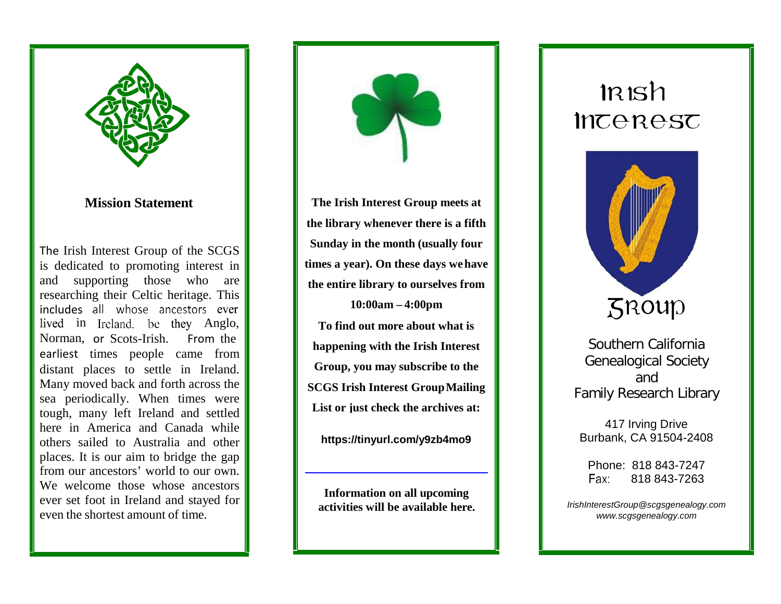

## **Mission Statement**

The Irish Interest Group of the SCGS is dedicated to promoting interest in and supporting those who are researching their Celtic heritage. This includes all whose ancestors ever lived in Ireland, be they Anglo, Norman, or Scots -Irish. From the earliest times people came from distant places to settle in Ireland. Many moved back and forth across the sea periodically. When times were tough, many left Ireland and settled here in America and Canada while others sailed to Australia and other places. It is our aim to bridge the gap from our ancestors' world to our own. We welcome those whose ancestors ever set foot in Ireland and stayed for even the shortest amount of time.



**The Irish Interest Group meets at the library whenever there is a fifth Sunday in the month (usually four times a year). On these days wehave the entire library to ourselves from 10:00am – 4:00pm To find out more about what is happening with the Irish Interest Group, you may subscribe to the SCGS Irish Interest GroupMailing**

**List or just check the archives at:**

**https://tinyurl.com/y9zb4mo9**

**Information on all upcoming activities will be available here.**

## $l\nR$ Inceresc



Southern California Genealogical Society and Family Research Library

417 Irving Drive Burbank, CA 91504 -2408

Phone: 818 843 -7247 Fax: 818 843 -7263

*[IrishInterestGroup@scgsgenealogy.com](mailto:IrishInterestGroup@scgsgenealogy.com) [www.scgsgenealogy.com](http://www.scgsgenealogy.com/)*